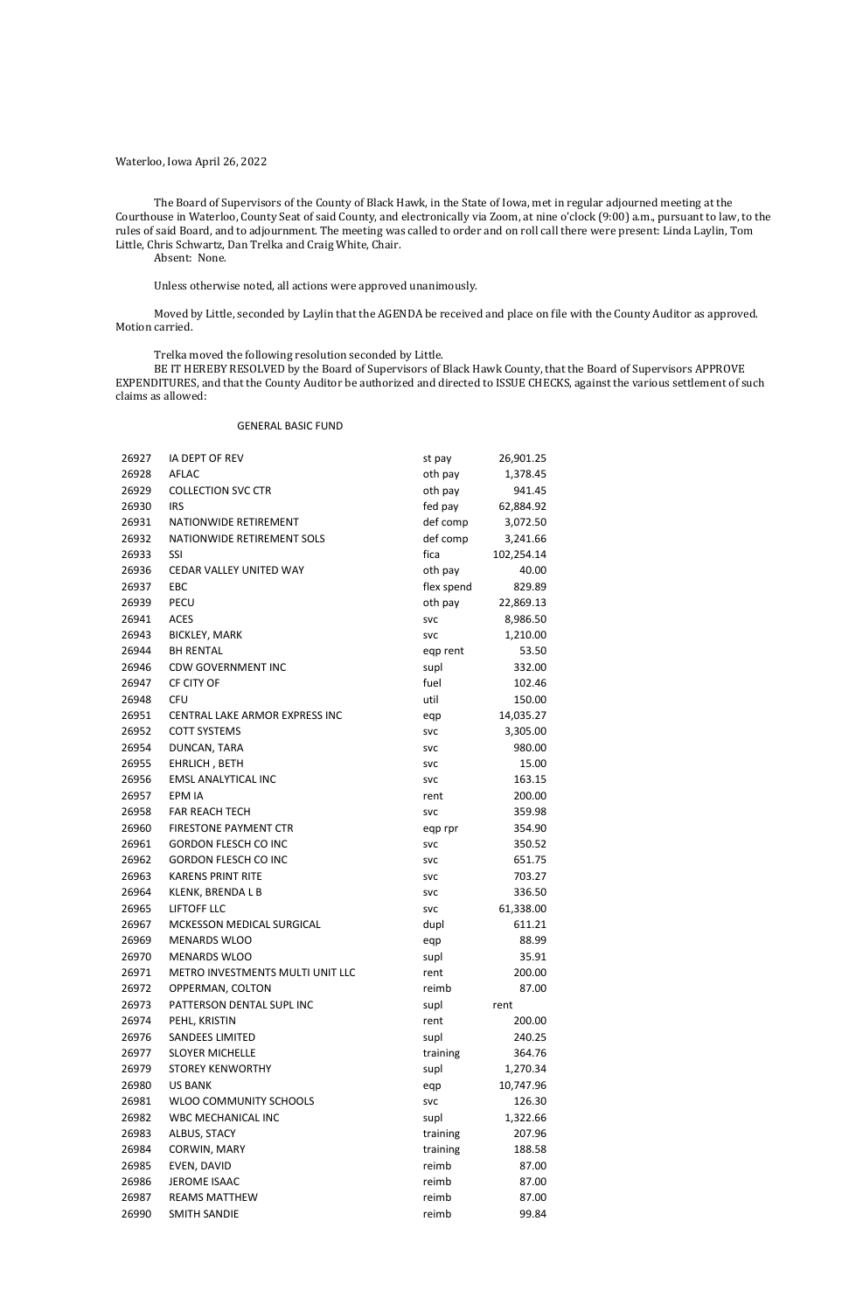Waterloo, Iowa April 26, 2022

The Board of Supervisors of the County of Black Hawk, in the State of Iowa, met in regular adjourned meeting at the Courthouse in Waterloo, County Seat of said County, and electronically via Zoom, at nine o'clock (9:00) a.m., pursuant to law, to the rules of said Board, and to adjournment. The meeting was called to order and on roll call there were present: Linda Laylin, Tom Little, Chris Schwartz, Dan Trelka and Craig White, Chair.

Absent: None.

Unless otherwise noted, all actions were approved unanimously.

Moved by Little, seconded by Laylin that the AGENDA be received and place on file with the County Auditor as approved. Motion carried.

Trelka moved the following resolution seconded by Little.

BE IT HEREBY RESOLVED by the Board of Supervisors of Black Hawk County, that the Board of Supervisors APPROVE EXPENDITURES, and that the County Auditor be authorized and directed to ISSUE CHECKS, against the various settlement of such claims as allowed:

### GENERAL BASIC FUND

| 26927 | <b>IA DEPT OF REV</b>            | st pay     | 26,901.25  |  |
|-------|----------------------------------|------------|------------|--|
| 26928 | <b>AFLAC</b>                     | oth pay    | 1,378.45   |  |
| 26929 | <b>COLLECTION SVC CTR</b>        | oth pay    | 941.45     |  |
| 26930 | <b>IRS</b>                       | fed pay    | 62,884.92  |  |
| 26931 | NATIONWIDE RETIREMENT            | def comp   | 3,072.50   |  |
| 26932 | NATIONWIDE RETIREMENT SOLS       | def comp   | 3,241.66   |  |
| 26933 | <b>SSI</b>                       | fica       | 102,254.14 |  |
| 26936 | CEDAR VALLEY UNITED WAY          | oth pay    | 40.00      |  |
| 26937 | <b>EBC</b>                       | flex spend | 829.89     |  |
| 26939 | <b>PECU</b>                      | oth pay    | 22,869.13  |  |
| 26941 | <b>ACES</b>                      | <b>SVC</b> | 8,986.50   |  |
| 26943 | <b>BICKLEY, MARK</b>             | <b>SVC</b> | 1,210.00   |  |
| 26944 | <b>BH RENTAL</b>                 | eqp rent   | 53.50      |  |
| 26946 | <b>CDW GOVERNMENT INC</b>        | supl       | 332.00     |  |
| 26947 | CF CITY OF                       | fuel       | 102.46     |  |
| 26948 | <b>CFU</b>                       | util       | 150.00     |  |
| 26951 | CENTRAL LAKE ARMOR EXPRESS INC   | eqp        | 14,035.27  |  |
| 26952 | <b>COTT SYSTEMS</b>              | <b>SVC</b> | 3,305.00   |  |
| 26954 | DUNCAN, TARA                     | <b>SVC</b> | 980.00     |  |
| 26955 | EHRLICH, BETH                    | <b>SVC</b> | 15.00      |  |
| 26956 | <b>EMSL ANALYTICAL INC</b>       | <b>SVC</b> | 163.15     |  |
| 26957 | EPM IA                           | rent       | 200.00     |  |
| 26958 | <b>FAR REACH TECH</b>            | <b>SVC</b> | 359.98     |  |
| 26960 | <b>FIRESTONE PAYMENT CTR</b>     | eqp rpr    | 354.90     |  |
| 26961 | <b>GORDON FLESCH CO INC</b>      | <b>SVC</b> | 350.52     |  |
| 26962 | <b>GORDON FLESCH CO INC</b>      | <b>SVC</b> | 651.75     |  |
| 26963 | <b>KARENS PRINT RITE</b>         | <b>SVC</b> | 703.27     |  |
| 26964 | KLENK, BRENDA L B                | <b>SVC</b> | 336.50     |  |
| 26965 | <b>LIFTOFF LLC</b>               | <b>SVC</b> | 61,338.00  |  |
| 26967 | MCKESSON MEDICAL SURGICAL        | dupl       | 611.21     |  |
| 26969 | <b>MENARDS WLOO</b>              | eqp        | 88.99      |  |
| 26970 | <b>MENARDS WLOO</b>              | supl       | 35.91      |  |
| 26971 | METRO INVESTMENTS MULTI UNIT LLC | rent       | 200.00     |  |
| 26972 | OPPERMAN, COLTON                 | reimb      | 87.00      |  |
| 26973 | PATTERSON DENTAL SUPL INC        | supl       | rent       |  |
| 26974 | PEHL, KRISTIN                    | rent       | 200.00     |  |
| 26976 | <b>SANDEES LIMITED</b>           | supl       | 240.25     |  |
| 26977 | <b>SLOYER MICHELLE</b>           | training   | 364.76     |  |
| 26979 | <b>STOREY KENWORTHY</b>          | supl       | 1,270.34   |  |
| 26980 | <b>US BANK</b>                   | eqp        | 10,747.96  |  |
| 26981 | WLOO COMMUNITY SCHOOLS           | <b>SVC</b> | 126.30     |  |
| 26982 | <b>WBC MECHANICAL INC</b>        | supl       | 1,322.66   |  |
| 26983 | ALBUS, STACY                     | training   | 207.96     |  |
| 26984 | CORWIN, MARY                     | training   | 188.58     |  |
| 26985 | EVEN, DAVID                      | reimb      | 87.00      |  |
| 26986 | JEROME ISAAC                     | reimb      | 87.00      |  |
| 26987 | <b>REAMS MATTHEW</b>             | reimb      | 87.00      |  |
| 26990 | <b>SMITH SANDIE</b>              | reimb      | 99.84      |  |
|       |                                  |            |            |  |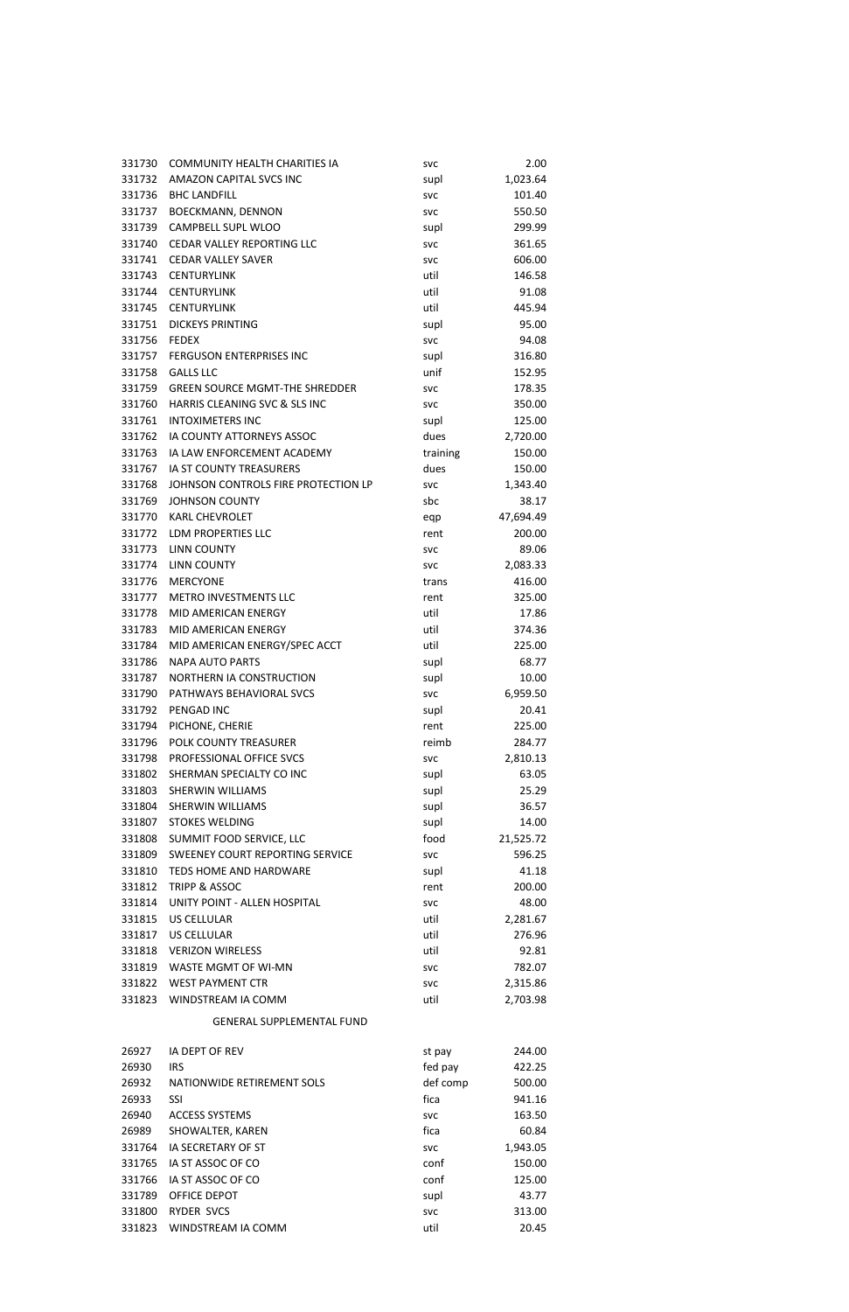| 331730           | <b>COMMUNITY HEALTH CHARITIES IA</b>    | <b>SVC</b>         | 2.00            |
|------------------|-----------------------------------------|--------------------|-----------------|
| 331732           | AMAZON CAPITAL SVCS INC                 | supl               | 1,023.64        |
|                  |                                         |                    |                 |
| 331736           | <b>BHC LANDFILL</b>                     | <b>SVC</b>         | 101.40          |
| 331737           | <b>BOECKMANN, DENNON</b>                | <b>SVC</b>         | 550.50          |
| 331739           | CAMPBELL SUPL WLOO                      | supl               | 299.99          |
| 331740           | <b>CEDAR VALLEY REPORTING LLC</b>       | <b>SVC</b>         | 361.65          |
| 331741           | <b>CEDAR VALLEY SAVER</b>               | <b>SVC</b>         | 606.00          |
|                  |                                         |                    |                 |
| 331743           | <b>CENTURYLINK</b>                      | util               | 146.58          |
| 331744           | <b>CENTURYLINK</b>                      | util               | 91.08           |
| 331745           | <b>CENTURYLINK</b>                      | util               | 445.94          |
| 331751           | <b>DICKEYS PRINTING</b>                 | supl               | 95.00           |
|                  |                                         |                    |                 |
| 331756           | <b>FEDEX</b>                            | <b>SVC</b>         | 94.08           |
| 331757           | <b>FERGUSON ENTERPRISES INC</b>         | supl               | 316.80          |
| 331758           | <b>GALLS LLC</b>                        | unif               | 152.95          |
| 331759           | <b>GREEN SOURCE MGMT-THE SHREDDER</b>   | <b>SVC</b>         | 178.35          |
| 331760           | HARRIS CLEANING SVC & SLS INC           | <b>SVC</b>         | 350.00          |
|                  |                                         |                    |                 |
| 331761           | <b>INTOXIMETERS INC</b>                 | supl               | 125.00          |
| 331762           | IA COUNTY ATTORNEYS ASSOC               | dues               | 2,720.00        |
| 331763           | IA LAW ENFORCEMENT ACADEMY              | training           | 150.00          |
| 331767           | IA ST COUNTY TREASURERS                 | dues               | 150.00          |
| 331768           | JOHNSON CONTROLS FIRE PROTECTION LP     | <b>SVC</b>         | 1,343.40        |
|                  |                                         |                    |                 |
| 331769           | <b>JOHNSON COUNTY</b>                   | sbc                | 38.17           |
| 331770           | <b>KARL CHEVROLET</b>                   | eqp                | 47,694.49       |
| 331772           | LDM PROPERTIES LLC                      | rent               | 200.00          |
| 331773           | <b>LINN COUNTY</b>                      | <b>SVC</b>         | 89.06           |
| 331774           | <b>LINN COUNTY</b>                      |                    |                 |
|                  |                                         | <b>SVC</b>         | 2,083.33        |
| 331776           | <b>MERCYONE</b>                         | trans              | 416.00          |
| 331777           | <b>METRO INVESTMENTS LLC</b>            | rent               | 325.00          |
| 331778           | <b>MID AMERICAN ENERGY</b>              | util               | 17.86           |
|                  | 331783 MID AMERICAN ENERGY              | util               | 374.36          |
|                  |                                         |                    |                 |
| 331784           | MID AMERICAN ENERGY/SPEC ACCT           | util               | 225.00          |
| 331786           | <b>NAPA AUTO PARTS</b>                  | supl               | 68.77           |
| 331787           | NORTHERN IA CONSTRUCTION                | supl               | 10.00           |
| 331790           | PATHWAYS BEHAVIORAL SVCS                | <b>SVC</b>         | 6,959.50        |
| 331792           | PENGAD INC                              | supl               | 20.41           |
|                  |                                         |                    |                 |
| 331794           | PICHONE, CHERIE                         | rent               | 225.00          |
| 331796           | POLK COUNTY TREASURER                   | reimb              | 284.77          |
| 331798           | PROFESSIONAL OFFICE SVCS                | <b>SVC</b>         | 2,810.13        |
| 331802           | SHERMAN SPECIALTY CO INC                | supl               | 63.05           |
| 331803           | SHERWIN WILLIAMS                        | supl               | 25.29           |
|                  |                                         |                    |                 |
| 331804           | SHERWIN WILLIAMS                        | supl               | 36.57           |
| 331807           | <b>STOKES WELDING</b>                   | supl               | 14.00           |
| 331808           | SUMMIT FOOD SERVICE, LLC                | food               | 21,525.72       |
| 331809           | SWEENEY COURT REPORTING SERVICE         | <b>SVC</b>         | 596.25          |
| 331810           | TEDS HOME AND HARDWARE                  | supl               | 41.18           |
|                  |                                         |                    |                 |
| 331812           | <b>TRIPP &amp; ASSOC</b>                | rent               | 200.00          |
| 331814           | UNITY POINT - ALLEN HOSPITAL            | <b>SVC</b>         | 48.00           |
| 331815           | <b>US CELLULAR</b>                      | util               | 2,281.67        |
| 331817           | US CELLULAR                             | util               | 276.96          |
|                  | 331818 VERIZON WIRELESS                 | util               | 92.81           |
|                  |                                         |                    |                 |
| 331819           |                                         |                    |                 |
|                  | <b>WASTE MGMT OF WI-MN</b>              | <b>SVC</b>         | 782.07          |
| 331822           | <b>WEST PAYMENT CTR</b>                 | <b>SVC</b>         | 2,315.86        |
| 331823           | WINDSTREAM IA COMM                      |                    |                 |
|                  |                                         | util               | 2,703.98        |
|                  | <b>GENERAL SUPPLEMENTAL FUND</b>        |                    |                 |
| 26927            | IA DEPT OF REV                          | st pay             | 244.00          |
| 26930            | <b>IRS</b>                              | fed pay            | 422.25          |
| 26932            | NATIONWIDE RETIREMENT SOLS              | def comp           | 500.00          |
|                  |                                         |                    |                 |
| 26933            | SSI                                     | fica               | 941.16          |
| 26940            | <b>ACCESS SYSTEMS</b>                   | svc                | 163.50          |
| 26989            | SHOWALTER, KAREN                        | fica               | 60.84           |
| 331764           | IA SECRETARY OF ST                      | <b>SVC</b>         | 1,943.05        |
| 331765           | IA ST ASSOC OF CO                       | conf               | 150.00          |
|                  |                                         |                    |                 |
| 331766           | IA ST ASSOC OF CO                       | conf               | 125.00          |
| 331789           | OFFICE DEPOT                            | supl               | 43.77           |
| 331800<br>331823 | <b>RYDER SVCS</b><br>WINDSTREAM IA COMM | <b>SVC</b><br>util | 313.00<br>20.45 |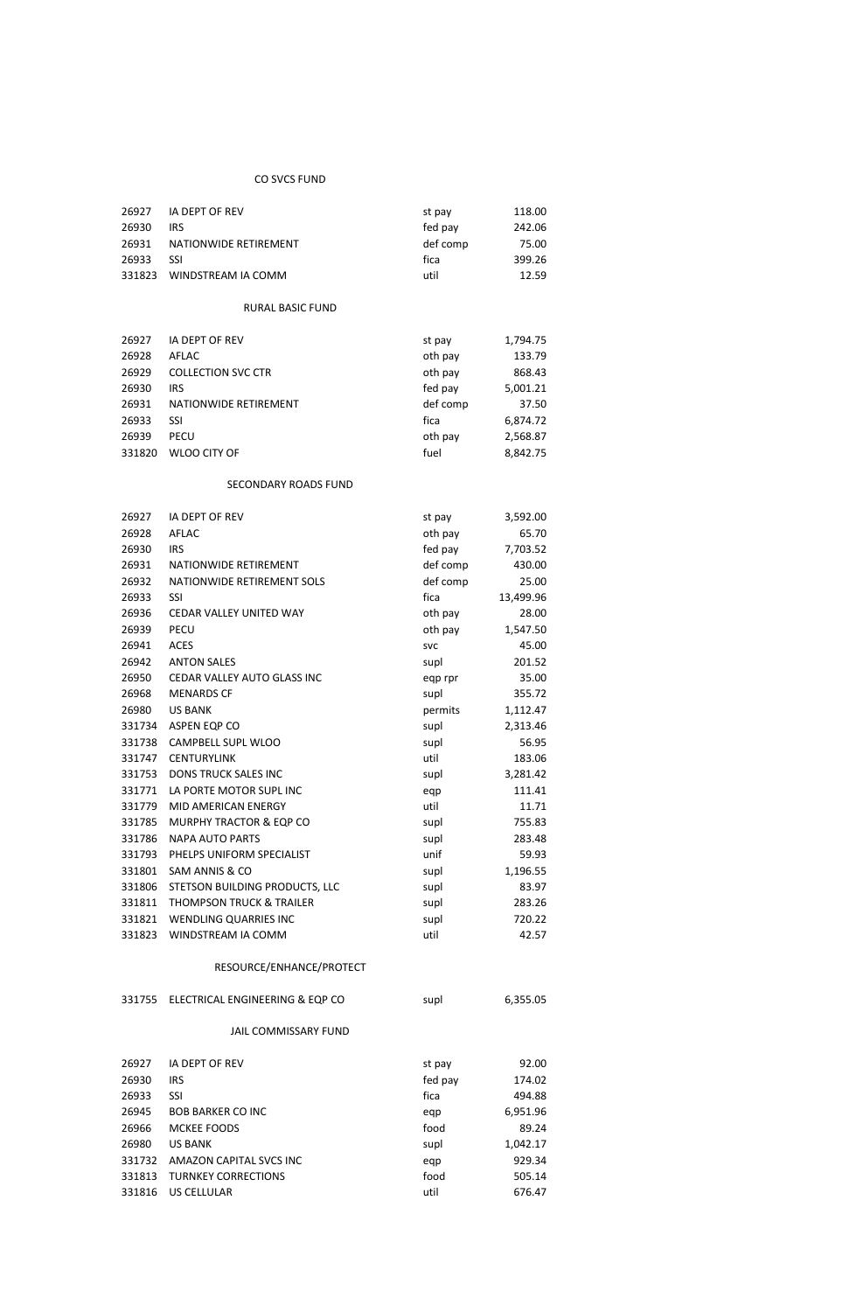## CO SVCS FUND

| 26927  | IA DEPT OF REV        | st pay   | 118.00 |
|--------|-----------------------|----------|--------|
| 26930  | <b>IRS</b>            | fed pay  | 242.06 |
| 26931  | NATIONWIDE RETIREMENT | def comp | 75.00  |
| 26933  | -SSI                  | fica     | 399.26 |
| 331823 | WINDSTREAM IA COMM    | util     | 12.59  |

# RURAL BASIC FUND

| 26927  | IA DEPT OF REV            | st pay   | 1,794.75 |
|--------|---------------------------|----------|----------|
| 26928  | AFLAC                     | oth pay  | 133.79   |
| 26929  | <b>COLLECTION SVC CTR</b> | oth pay  | 868.43   |
| 26930  | IRS                       | fed pay  | 5,001.21 |
| 26931  | NATIONWIDE RETIREMENT     | def comp | 37.50    |
| 26933  | SSI                       | fica     | 6,874.72 |
| 26939  | <b>PECU</b>               | oth pay  | 2,568.87 |
| 331820 | WLOO CITY OF              | fuel     | 8,842.75 |

## SECONDARY ROADS FUND

| 26927  | IA DEPT OF REV                      | st pay     | 3,592.00  |
|--------|-------------------------------------|------------|-----------|
| 26928  | <b>AFLAC</b>                        | oth pay    | 65.70     |
| 26930  | <b>IRS</b>                          | fed pay    | 7,703.52  |
| 26931  | NATIONWIDE RETIREMENT               | def comp   | 430.00    |
| 26932  | NATIONWIDE RETIREMENT SOLS          | def comp   | 25.00     |
| 26933  | <b>SSI</b>                          | fica       | 13,499.96 |
| 26936  | <b>CEDAR VALLEY UNITED WAY</b>      | oth pay    | 28.00     |
| 26939  | <b>PECU</b>                         | oth pay    | 1,547.50  |
| 26941  | <b>ACES</b>                         | <b>SVC</b> | 45.00     |
| 26942  | <b>ANTON SALES</b>                  | supl       | 201.52    |
| 26950  | CEDAR VALLEY AUTO GLASS INC         | eqp rpr    | 35.00     |
| 26968  | <b>MENARDS CF</b>                   | supl       | 355.72    |
| 26980  | <b>US BANK</b>                      | permits    | 1,112.47  |
| 331734 | ASPEN EQP CO                        | supl       | 2,313.46  |
| 331738 | CAMPBELL SUPL WLOO                  | supl       | 56.95     |
| 331747 | <b>CENTURYLINK</b>                  | util       | 183.06    |
| 331753 | <b>DONS TRUCK SALES INC</b>         | supl       | 3,281.42  |
| 331771 | LA PORTE MOTOR SUPL INC             | eqp        | 111.41    |
| 331779 | <b>MID AMERICAN ENERGY</b>          | util       | 11.71     |
| 331785 | MURPHY TRACTOR & EQP CO             | supl       | 755.83    |
| 331786 | <b>NAPA AUTO PARTS</b>              | supl       | 283.48    |
| 331793 | PHELPS UNIFORM SPECIALIST           | unif       | 59.93     |
| 331801 | SAM ANNIS & CO                      | supl       | 1,196.55  |
| 331806 | STETSON BUILDING PRODUCTS, LLC      | supl       | 83.97     |
| 331811 | <b>THOMPSON TRUCK &amp; TRAILER</b> | supl       | 283.26    |
| 331821 | <b>WENDLING QUARRIES INC</b>        | supl       | 720.22    |
| 331823 | WINDSTREAM IA COMM                  | util       | 42.57     |

#### RESOURCE/ENHANCE/PROTECT

| 331755 | ELECTRICAL ENGINEERING & EQP CO | supl    | 6,355.05 |
|--------|---------------------------------|---------|----------|
|        | <b>JAIL COMMISSARY FUND</b>     |         |          |
| 26927  | <b>IA DEPT OF REV</b>           | st pay  | 92.00    |
| 26930  | <b>IRS</b>                      | fed pay | 174.02   |
| 26933  | SSI                             | fica    | 494.88   |
| 26945  | <b>BOB BARKER CO INC.</b>       | eqp     | 6,951.96 |
| 26966  | <b>MCKEE FOODS</b>              | food    | 89.24    |
| 26980  | <b>US BANK</b>                  | supl    | 1,042.17 |
| 331732 | AMAZON CAPITAL SVCS INC         | eqp     | 929.34   |
| 331813 | <b>TURNKEY CORRECTIONS</b>      | food    | 505.14   |
| 331816 | US CELLULAR                     | util    | 676.47   |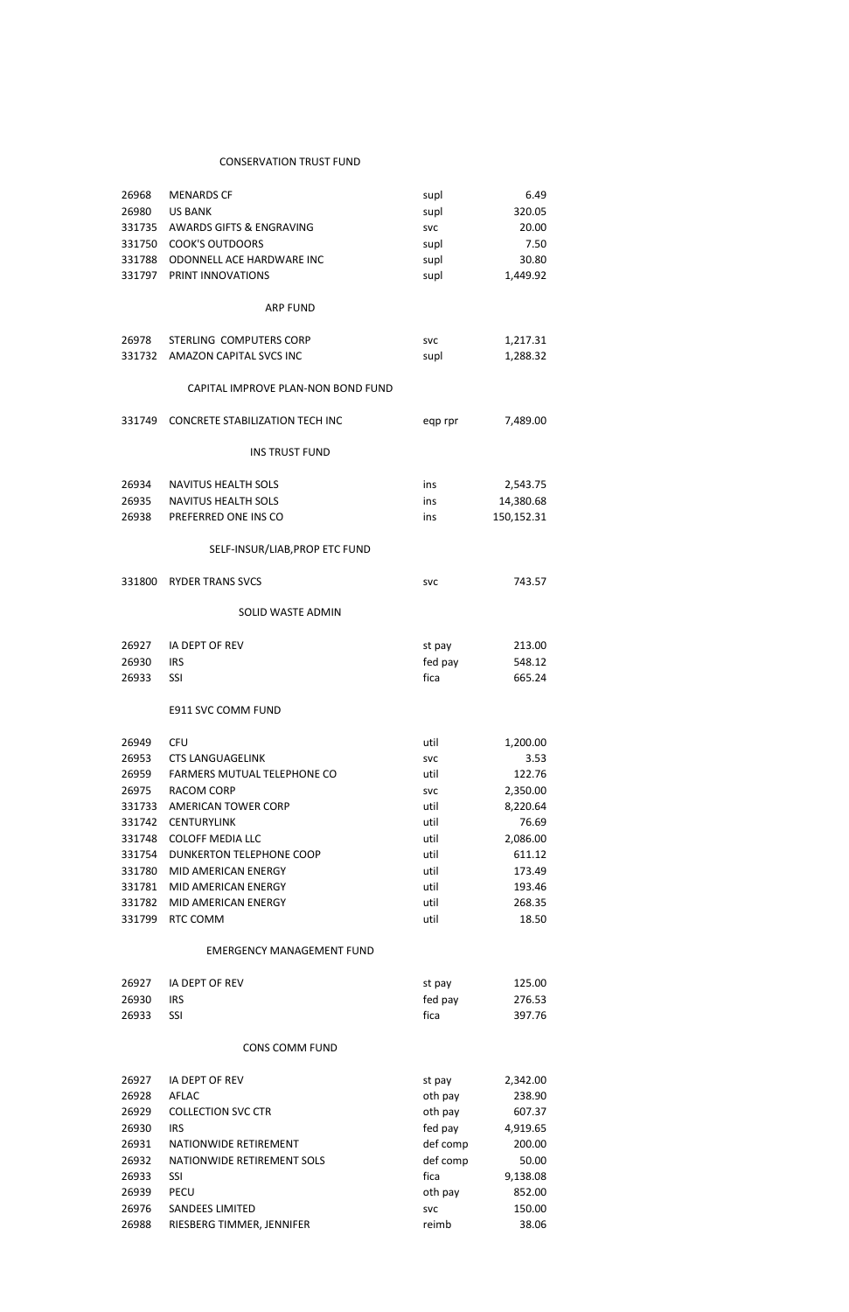## CONSERVATION TRUST FUND

| 26968  | <b>MENARDS CF</b>                      | supl       | 6.49       |  |
|--------|----------------------------------------|------------|------------|--|
| 26980  | <b>US BANK</b>                         | supl       | 320.05     |  |
| 331735 | AWARDS GIFTS & ENGRAVING               | <b>SVC</b> | 20.00      |  |
| 331750 | <b>COOK'S OUTDOORS</b>                 | supl       | 7.50       |  |
| 331788 | ODONNELL ACE HARDWARE INC              | supl       | 30.80      |  |
| 331797 | PRINT INNOVATIONS                      | supl       | 1,449.92   |  |
|        |                                        |            |            |  |
|        | <b>ARP FUND</b>                        |            |            |  |
| 26978  | STERLING COMPUTERS CORP                | <b>SVC</b> | 1,217.31   |  |
| 331732 | AMAZON CAPITAL SVCS INC                | supl       | 1,288.32   |  |
|        | CAPITAL IMPROVE PLAN-NON BOND FUND     |            |            |  |
| 331749 | <b>CONCRETE STABILIZATION TECH INC</b> | eqp rpr    | 7,489.00   |  |
|        | <b>INS TRUST FUND</b>                  |            |            |  |
| 26934  | <b>NAVITUS HEALTH SOLS</b>             | ins        | 2,543.75   |  |
| 26935  | <b>NAVITUS HEALTH SOLS</b>             | ins        | 14,380.68  |  |
| 26938  | PREFERRED ONE INS CO                   | ins        | 150,152.31 |  |
|        |                                        |            |            |  |
|        | SELF-INSUR/LIAB, PROP ETC FUND         |            |            |  |
| 331800 | <b>RYDER TRANS SVCS</b>                | <b>SVC</b> | 743.57     |  |
|        | <b>SOLID WASTE ADMIN</b>               |            |            |  |
| 26927  | <b>IA DEPT OF REV</b>                  | st pay     | 213.00     |  |
| 26930  | <b>IRS</b>                             | fed pay    | 548.12     |  |
| 26933  | SSI                                    | fica       | 665.24     |  |
|        |                                        |            |            |  |
|        | E911 SVC COMM FUND                     |            |            |  |
| 26949  | <b>CFU</b>                             | util       | 1,200.00   |  |
| 26953  | <b>CTS LANGUAGELINK</b>                | <b>SVC</b> | 3.53       |  |
| 26959  | FARMERS MUTUAL TELEPHONE CO            | util       | 122.76     |  |
| 26975  | <b>RACOM CORP</b>                      | svc        | 2,350.00   |  |
| 331733 | AMERICAN TOWER CORP                    | util       | 8,220.64   |  |
| 331742 | <b>CENTURYLINK</b>                     | util       | 76.69      |  |
| 331748 | <b>COLOFF MEDIA LLC</b>                | util       | 2,086.00   |  |
| 331754 | <b>DUNKERTON TELEPHONE COOP</b>        | util       | 611.12     |  |
| 331780 | MID AMERICAN ENERGY                    | util       | 173.49     |  |
| 331781 | MID AMERICAN ENERGY                    | util       | 193.46     |  |
| 331782 | MID AMERICAN ENERGY                    | util       | 268.35     |  |
| 331799 | RTC COMM                               | util       | 18.50      |  |

# EMERGENCY MANAGEMENT FUND

|       | 26927 IA DEPT OF REV | st pay  | 125.00 |
|-------|----------------------|---------|--------|
| 26930 | <b>IRS</b>           | fed pay | 276.53 |
| 26933 | - SSI                | fica    | 397.76 |

# CONS COMM FUND

| 26927 | IA DEPT OF REV             | st pay     | 2,342.00 |
|-------|----------------------------|------------|----------|
| 26928 | AFLAC                      | oth pay    | 238.90   |
| 26929 | <b>COLLECTION SVC CTR</b>  | oth pay    | 607.37   |
| 26930 | <b>IRS</b>                 | fed pay    | 4,919.65 |
| 26931 | NATIONWIDE RETIREMENT      | def comp   | 200.00   |
| 26932 | NATIONWIDE RETIREMENT SOLS | def comp   | 50.00    |
| 26933 | SSI                        | fica       | 9,138.08 |
| 26939 | <b>PECU</b>                | oth pay    | 852.00   |
| 26976 | <b>SANDEES LIMITED</b>     | <b>SVC</b> | 150.00   |
| 26988 | RIESBERG TIMMER, JENNIFER  | reimb      | 38.06    |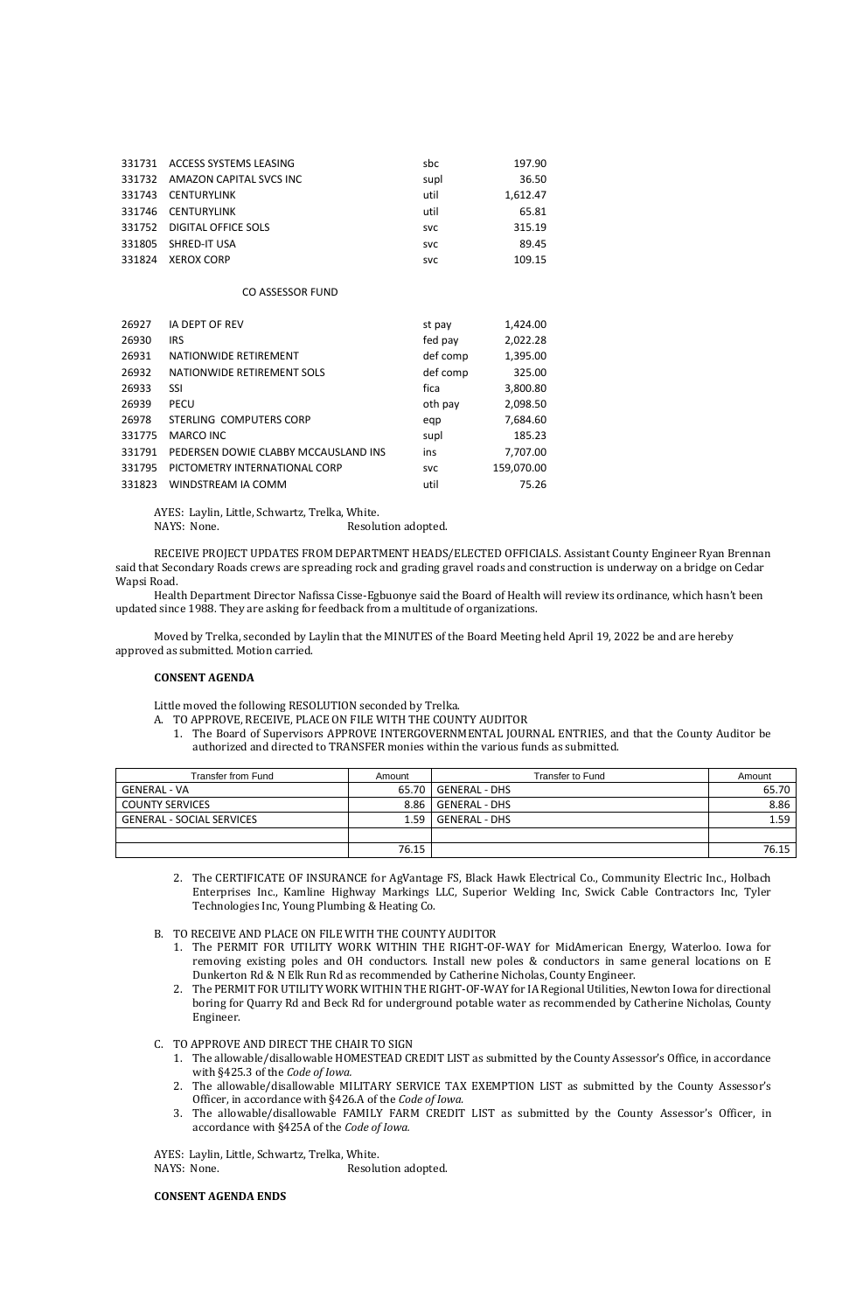| 331731 | ACCESS SYSTEMS LEASING         | sbc        | 197.90   |
|--------|--------------------------------|------------|----------|
|        | 331732 AMAZON CAPITAL SVCS INC | supl       | 36.50    |
| 331743 | CENTURYLINK                    | util       | 1,612.47 |
|        | 331746 CENTURYLINK             | util       | 65.81    |
|        | 331752 DIGITAL OFFICE SOLS     | <b>SVC</b> | 315.19   |
|        | 331805 SHRED-IT USA            | <b>SVC</b> | 89.45    |
| 331824 | <b>XEROX CORP</b>              | <b>SVC</b> | 109.15   |

#### CO ASSESSOR FUND

| 26927  | <b>IA DEPT OF REV</b>                | st pay     | 1,424.00   |
|--------|--------------------------------------|------------|------------|
| 26930  | <b>IRS</b>                           | fed pay    | 2,022.28   |
| 26931  | NATIONWIDE RETIREMENT                | def comp   | 1,395.00   |
| 26932  | NATIONWIDE RETIREMENT SOLS           | def comp   | 325.00     |
| 26933  | SSI                                  | fica       | 3,800.80   |
| 26939  | <b>PECU</b>                          | oth pay    | 2,098.50   |
| 26978  | STERLING COMPUTERS CORP              | eqp        | 7,684.60   |
| 331775 | MARCO INC                            | supl       | 185.23     |
| 331791 | PEDERSEN DOWIE CLABBY MCCAUSLAND INS | ins        | 7,707.00   |
| 331795 | PICTOMETRY INTERNATIONAL CORP        | <b>SVC</b> | 159,070.00 |
| 331823 | WINDSTREAM IA COMM                   | util       | 75.26      |

AYES: Laylin, Little, Schwartz, Trelka, White.

NAYS: None. Resolution adopted.

RECEIVE PROJECT UPDATES FROM DEPARTMENT HEADS/ELECTED OFFICIALS. Assistant County Engineer Ryan Brennan said that Secondary Roads crews are spreading rock and grading gravel roads and construction is underway on a bridge on Cedar Wapsi Road.

Health Department Director Nafissa Cisse-Egbuonye said the Board of Health will review its ordinance, which hasn't been updated since 1988. They are asking for feedback from a multitude of organizations.

Moved by Trelka, seconded by Laylin that the MINUTES of the Board Meeting held April 19, 2022 be and are hereby approved as submitted. Motion carried.

## **CONSENT AGENDA**

Little moved the following RESOLUTION seconded by Trelka.

A. TO APPROVE, RECEIVE, PLACE ON FILE WITH THE COUNTY AUDITOR

1. The Board of Supervisors APPROVE INTERGOVERNMENTAL JOURNAL ENTRIES, and that the County Auditor be authorized and directed to TRANSFER monies within the various funds as submitted.

AYES: Laylin, Little, Schwartz, Trelka, White. NAYS: None. Resolution adopted.

| Transfer from Fund               | Amount | Transfer to Fund     | Amount |
|----------------------------------|--------|----------------------|--------|
| GENERAL - VA                     | 65.70  | <b>GENERAL - DHS</b> | 65.70  |
| <b>COUNTY SERVICES</b>           | 8.86   | <b>GENERAL - DHS</b> | 8.86   |
| <b>GENERAL - SOCIAL SERVICES</b> | 1.59   | <b>GENERAL - DHS</b> | 1.59   |
|                                  |        |                      |        |
|                                  | 76.15  |                      | 76.15  |

- 2. The CERTIFICATE OF INSURANCE for AgVantage FS, Black Hawk Electrical Co., Community Electric Inc., Holbach Enterprises Inc., Kamline Highway Markings LLC, Superior Welding Inc, Swick Cable Contractors Inc, Tyler Technologies Inc, Young Plumbing & Heating Co.
- B. TO RECEIVE AND PLACE ON FILE WITH THE COUNTY AUDITOR
	- 1. The PERMIT FOR UTILITY WORK WITHIN THE RIGHT-OF-WAY for MidAmerican Energy, Waterloo. Iowa for removing existing poles and OH conductors. Install new poles & conductors in same general locations on E Dunkerton Rd & N Elk Run Rd as recommended by Catherine Nicholas, County Engineer. 2. The PERMIT FOR UTILITY WORK WITHIN THE RIGHT-OF-WAY for IA Regional Utilities, Newton Iowa for directional boring for Quarry Rd and Beck Rd for underground potable water as recommended by Catherine Nicholas, County Engineer.
- C. TO APPROVE AND DIRECT THE CHAIR TO SIGN
	- 1. The allowable/disallowable HOMESTEAD CREDIT LIST as submitted by the County Assessor's Office, in accordance with §425.3 of the *Code of Iowa.*
	- 2. The allowable/disallowable MILITARY SERVICE TAX EXEMPTION LIST as submitted by the County Assessor's Officer, in accordance with §426.A of the *Code of Iowa.*
	- 3. The allowable/disallowable FAMILY FARM CREDIT LIST as submitted by the County Assessor's Officer, in accordance with §425A of the *Code of Iowa.*

### **CONSENT AGENDA ENDS**